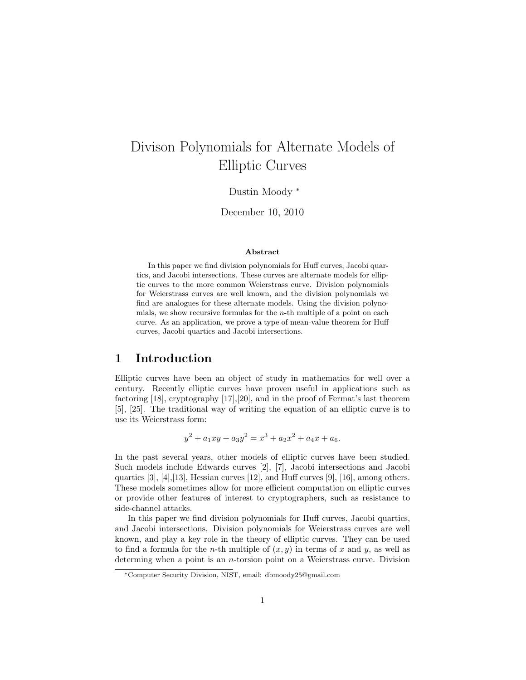# Divison Polynomials for Alternate Models of Elliptic Curves

Dustin Moody <sup>∗</sup>

December 10, 2010

#### Abstract

In this paper we find division polynomials for Huff curves, Jacobi quartics, and Jacobi intersections. These curves are alternate models for elliptic curves to the more common Weierstrass curve. Division polynomials for Weierstrass curves are well known, and the division polynomials we find are analogues for these alternate models. Using the division polynomials, we show recursive formulas for the  $n$ -th multiple of a point on each curve. As an application, we prove a type of mean-value theorem for Huff curves, Jacobi quartics and Jacobi intersections.

## 1 Introduction

Elliptic curves have been an object of study in mathematics for well over a century. Recently elliptic curves have proven useful in applications such as factoring [18], cryptography [17],[20], and in the proof of Fermat's last theorem [5], [25]. The traditional way of writing the equation of an elliptic curve is to use its Weierstrass form:

$$
y^2 + a_1xy + a_3y^2 = x^3 + a_2x^2 + a_4x + a_6.
$$

In the past several years, other models of elliptic curves have been studied. Such models include Edwards curves [2], [7], Jacobi intersections and Jacobi quartics [3], [4],[13], Hessian curves [12], and Huff curves [9], [16], among others. These models sometimes allow for more efficient computation on elliptic curves or provide other features of interest to cryptographers, such as resistance to side-channel attacks.

In this paper we find division polynomials for Huff curves, Jacobi quartics, and Jacobi intersections. Division polynomials for Weierstrass curves are well known, and play a key role in the theory of elliptic curves. They can be used to find a formula for the *n*-th multiple of  $(x, y)$  in terms of x and y, as well as determing when a point is an *n*-torsion point on a Weierstrass curve. Division

<sup>∗</sup>Computer Security Division, NIST, email: dbmoody25@gmail.com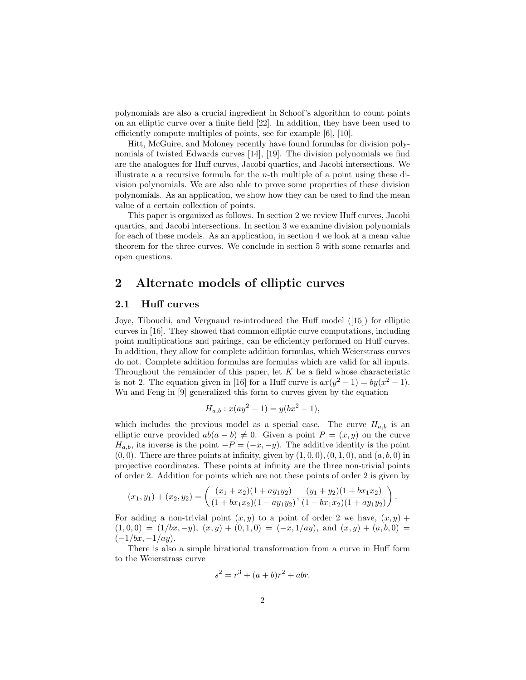polynomials are also a crucial ingredient in Schoof's algorithm to count points on an elliptic curve over a finite field [22]. In addition, they have been used to efficiently compute multiples of points, see for example [6], [10].

Hitt, McGuire, and Moloney recently have found formulas for division polynomials of twisted Edwards curves [14], [19]. The division polynomials we find are the analogues for Huff curves, Jacobi quartics, and Jacobi intersections. We illustrate a a recursive formula for the n-th multiple of a point using these division polynomials. We are also able to prove some properties of these division polynomials. As an application, we show how they can be used to find the mean value of a certain collection of points.

This paper is organized as follows. In section 2 we review Huff curves, Jacobi quartics, and Jacobi intersections. In section 3 we examine division polynomials for each of these models. As an application, in section 4 we look at a mean value theorem for the three curves. We conclude in section 5 with some remarks and open questions.

## 2 Alternate models of elliptic curves

#### 2.1 Huff curves

Joye, Tibouchi, and Vergnaud re-introduced the Huff model ([15]) for elliptic curves in [16]. They showed that common elliptic curve computations, including point multiplications and pairings, can be efficiently performed on Huff curves. In addition, they allow for complete addition formulas, which Weierstrass curves do not. Complete addition formulas are formulas which are valid for all inputs. Throughout the remainder of this paper, let  $K$  be a field whose characteristic is not 2. The equation given in [16] for a Huff curve is  $ax(y^2 - 1) = by(x^2 - 1)$ . Wu and Feng in [9] generalized this form to curves given by the equation

$$
H_{a,b}: x(ay^2 - 1) = y(bx^2 - 1),
$$

which includes the previous model as a special case. The curve  $H_{a,b}$  is an elliptic curve provided  $ab(a - b) \neq 0$ . Given a point  $P = (x, y)$  on the curve  $H_{a,b}$ , its inverse is the point  $-P = (-x, -y)$ . The additive identity is the point  $(0, 0)$ . There are three points at infinity, given by  $(1, 0, 0), (0, 1, 0)$ , and  $(a, b, 0)$  in projective coordinates. These points at infinity are the three non-trivial points of order 2. Addition for points which are not these points of order 2 is given by

$$
(x_1, y_1) + (x_2, y_2) = \left(\frac{(x_1 + x_2)(1 + ay_1y_2)}{(1 + bx_1x_2)(1 - ay_1y_2)}, \frac{(y_1 + y_2)(1 + bx_1x_2)}{(1 - bx_1x_2)(1 + ay_1y_2)}\right).
$$

For adding a non-trivial point  $(x, y)$  to a point of order 2 we have,  $(x, y)$  +  $(1, 0, 0) = (1/bx, -y), (x, y) + (0, 1, 0) = (-x, 1/ay), \text{ and } (x, y) + (a, b, 0) =$  $(-1/bx, -1/ay).$ 

There is also a simple birational transformation from a curve in Huff form to the Weierstrass curve

$$
s^2 = r^3 + (a+b)r^2 + abr.
$$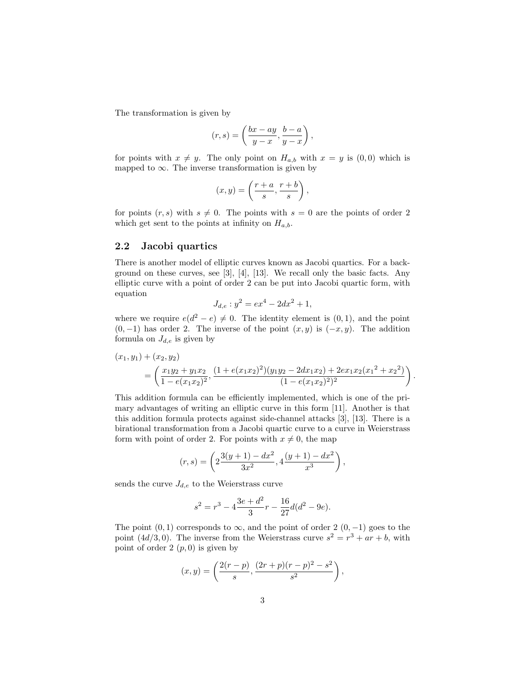The transformation is given by

$$
(r,s)=\left(\frac{bx-ay}{y-x},\frac{b-a}{y-x}\right),
$$

for points with  $x \neq y$ . The only point on  $H_{a,b}$  with  $x = y$  is  $(0, 0)$  which is mapped to  $\infty$ . The inverse transformation is given by

$$
(x,y) = \left(\frac{r+a}{s}, \frac{r+b}{s}\right),\,
$$

for points  $(r, s)$  with  $s \neq 0$ . The points with  $s = 0$  are the points of order 2 which get sent to the points at infinity on  $H_{a,b}$ .

#### 2.2 Jacobi quartics

There is another model of elliptic curves known as Jacobi quartics. For a background on these curves, see [3], [4], [13]. We recall only the basic facts. Any elliptic curve with a point of order 2 can be put into Jacobi quartic form, with equation

$$
J_{d,e}: y^2 = ex^4 - 2dx^2 + 1,
$$

where we require  $e(d^2 - e) \neq 0$ . The identity element is  $(0, 1)$ , and the point  $(0, -1)$  has order 2. The inverse of the point  $(x, y)$  is  $(-x, y)$ . The addition formula on  $J_{d,e}$  is given by

$$
(x_1, y_1) + (x_2, y_2)
$$
  
=  $\left(\frac{x_1y_2 + y_1x_2}{1 - e(x_1x_2)^2}, \frac{(1 + e(x_1x_2)^2)(y_1y_2 - 2dx_1x_2) + 2ex_1x_2(x_1^2 + x_2^2)}{(1 - e(x_1x_2)^2)^2}\right)$ 

.

This addition formula can be efficiently implemented, which is one of the primary advantages of writing an elliptic curve in this form [11]. Another is that this addition formula protects against side-channel attacks [3], [13]. There is a birational transformation from a Jacobi quartic curve to a curve in Weierstrass form with point of order 2. For points with  $x \neq 0$ , the map

$$
(r,s)=\left(2\frac{3(y+1)-dx^2}{3x^2},4\frac{(y+1)-dx^2}{x^3}\right),
$$

sends the curve  $J_{d,e}$  to the Weierstrass curve

$$
s^{2} = r^{3} - 4\frac{3e + d^{2}}{3}r - \frac{16}{27}d(d^{2} - 9e).
$$

The point  $(0, 1)$  corresponds to  $\infty$ , and the point of order 2  $(0, -1)$  goes to the point  $(4d/3, 0)$ . The inverse from the Weierstrass curve  $s^2 = r^3 + ar + b$ , with point of order  $2(p, 0)$  is given by

$$
(x,y) = \left(\frac{2(r-p)}{s}, \frac{(2r+p)(r-p)^2 - s^2}{s^2}\right)
$$
,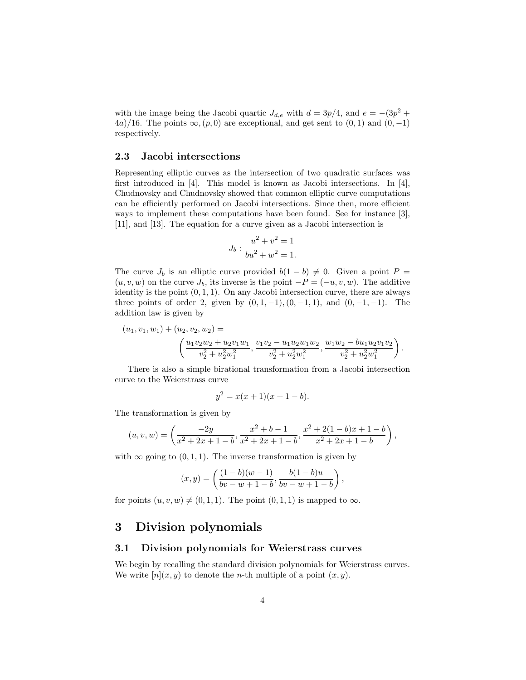with the image being the Jacobi quartic  $J_{d,e}$  with  $d = 3p/4$ , and  $e = -(3p^2 +$ 4a)/16. The points  $\infty$ ,  $(p, 0)$  are exceptional, and get sent to  $(0, 1)$  and  $(0, -1)$ respectively.

#### 2.3 Jacobi intersections

Representing elliptic curves as the intersection of two quadratic surfaces was first introduced in [4]. This model is known as Jacobi intersections. In [4], Chudnovsky and Chudnovsky showed that common elliptic curve computations can be efficiently performed on Jacobi intersections. Since then, more efficient ways to implement these computations have been found. See for instance [3], [11], and [13]. The equation for a curve given as a Jacobi intersection is

$$
J_b: \frac{u^2 + v^2 = 1}{bu^2 + w^2 = 1}.
$$

The curve  $J_b$  is an elliptic curve provided  $b(1 - b) \neq 0$ . Given a point  $P =$  $(u, v, w)$  on the curve  $J_b$ , its inverse is the point  $-P = (-u, v, w)$ . The additive identity is the point  $(0, 1, 1)$ . On any Jacobi intersection curve, there are always three points of order 2, given by  $(0, 1, -1)$ ,  $(0, -1, 1)$ , and  $(0, -1, -1)$ . The addition law is given by

$$
(u_1, v_1, w_1) + (u_2, v_2, w_2) =
$$
  

$$
\left(\frac{u_1v_2w_2 + u_2v_1w_1}{v_2^2 + u_2^2w_1^2}, \frac{v_1v_2 - u_1u_2w_1w_2}{v_2^2 + u_2^2w_1^2}, \frac{w_1w_2 - bu_1u_2v_1v_2}{v_2^2 + u_2^2w_1^2}\right).
$$

There is also a simple birational transformation from a Jacobi intersection curve to the Weierstrass curve

$$
y^2 = x(x+1)(x+1-b).
$$

The transformation is given by

$$
(u, v, w) = \left(\frac{-2y}{x^2 + 2x + 1 - b}, \frac{x^2 + b - 1}{x^2 + 2x + 1 - b}, \frac{x^2 + 2(1 - b)x + 1 - b}{x^2 + 2x + 1 - b}\right),\,
$$

with  $\infty$  going to  $(0, 1, 1)$ . The inverse transformation is given by

$$
(x,y) = \left(\frac{(1-b)(w-1)}{bv - w + 1 - b}, \frac{b(1-b)u}{bv - w + 1 - b}\right),\,
$$

for points  $(u, v, w) \neq (0, 1, 1)$ . The point  $(0, 1, 1)$  is mapped to  $\infty$ .

## 3 Division polynomials

#### 3.1 Division polynomials for Weierstrass curves

We begin by recalling the standard division polynomials for Weierstrass curves. We write  $[n](x, y)$  to denote the *n*-th multiple of a point  $(x, y)$ .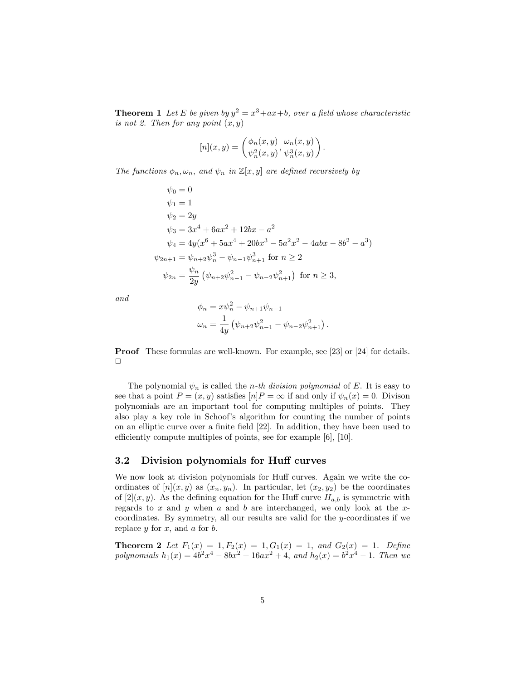**Theorem 1** Let E be given by  $y^2 = x^3 + ax + b$ , over a field whose characteristic is not 2. Then for any point  $(x, y)$ 

$$
[n](x,y) = \left(\frac{\phi_n(x,y)}{\psi_n^2(x,y)}, \frac{\omega_n(x,y)}{\psi_n^3(x,y)}\right).
$$

The functions  $\phi_n, \omega_n$ , and  $\psi_n$  in  $\mathbb{Z}[x, y]$  are defined recursively by

$$
\psi_0 = 0
$$
  
\n
$$
\psi_1 = 1
$$
  
\n
$$
\psi_2 = 2y
$$
  
\n
$$
\psi_3 = 3x^4 + 6ax^2 + 12bx - a^2
$$
  
\n
$$
\psi_4 = 4y(x^6 + 5ax^4 + 20bx^3 - 5a^2x^2 - 4abx - 8b^2 - a^3)
$$
  
\n
$$
\psi_{2n+1} = \psi_{n+2}\psi_n^3 - \psi_{n-1}\psi_{n+1}^3 \text{ for } n \ge 2
$$
  
\n
$$
\psi_{2n} = \frac{\psi_n}{2y} (\psi_{n+2}\psi_{n-1}^2 - \psi_{n-2}\psi_{n+1}^2) \text{ for } n \ge 3,
$$

and

$$
\phi_n = x\psi_n^2 - \psi_{n+1}\psi_{n-1}
$$
  

$$
\omega_n = \frac{1}{4y} \left( \psi_{n+2}\psi_{n-1}^2 - \psi_{n-2}\psi_{n+1}^2 \right).
$$

Proof These formulas are well-known. For example, see [23] or [24] for details.  $\Box$ 

The polynomial  $\psi_n$  is called the *n*-th division polynomial of E. It is easy to see that a point  $P = (x, y)$  satisfies  $[n]P = \infty$  if and only if  $\psi_n(x) = 0$ . Divison polynomials are an important tool for computing multiples of points. They also play a key role in Schoof's algorithm for counting the number of points on an elliptic curve over a finite field [22]. In addition, they have been used to efficiently compute multiples of points, see for example [6], [10].

#### 3.2 Division polynomials for Huff curves

We now look at division polynomials for Huff curves. Again we write the coordinates of  $[n](x, y)$  as  $(x_n, y_n)$ . In particular, let  $(x_2, y_2)$  be the coordinates of  $[2](x, y)$ . As the defining equation for the Huff curve  $H_{a,b}$  is symmetric with regards to  $x$  and  $y$  when  $a$  and  $b$  are interchanged, we only look at the  $x$ coordinates. By symmetry, all our results are valid for the y-coordinates if we replace  $y$  for  $x$ , and  $a$  for  $b$ .

**Theorem 2** Let  $F_1(x) = 1, F_2(x) = 1, G_1(x) = 1, and G_2(x) = 1.$  Define polynomials  $h_1(x) = 4b^2x^4 - 8bx^2 + 16ax^2 + 4$ , and  $h_2(x) = b^2x^4 - 1$ . Then we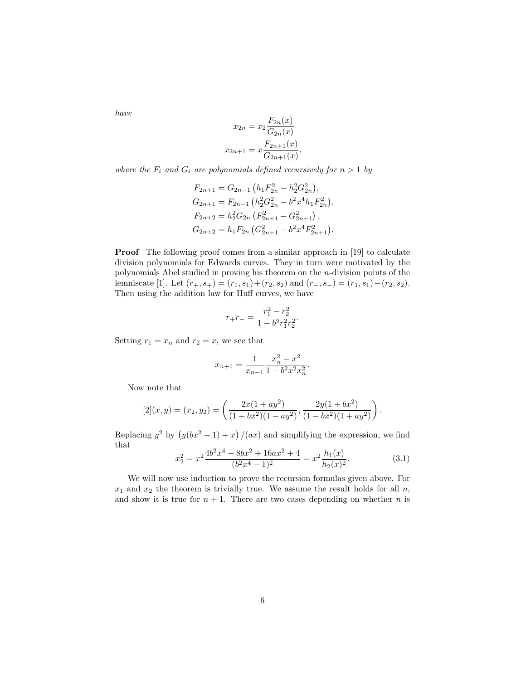have

$$
x_{2n} = x_2 \frac{F_{2n}(x)}{G_{2n}(x)}
$$

$$
x_{2n+1} = x \frac{F_{2n+1}(x)}{G_{2n+1}(x)},
$$

where the  $F_i$  and  $G_i$  are polynomials defined recursively for  $n > 1$  by

$$
F_{2n+1} = G_{2n-1} (h_1 F_{2n}^2 - h_2^2 G_{2n}^2),
$$
  
\n
$$
G_{2n+1} = F_{2n-1} (h_2^2 G_{2n}^2 - b^2 x^4 h_1 F_{2n}^2),
$$
  
\n
$$
F_{2n+2} = h_2^2 G_{2n} (F_{2n+1}^2 - G_{2n+1}^2),
$$
  
\n
$$
G_{2n+2} = h_1 F_{2n} (G_{2n+1}^2 - b^2 x^4 F_{2n+1}^2).
$$

**Proof** The following proof comes from a similar approach in [19] to calculate division polynomials for Edwards curves. They in turn were motivated by the polynomials Abel studied in proving his theorem on the n-division points of the lemniscate [1]. Let  $(r_+, s_+) = (r_1, s_1) + (r_2, s_2)$  and  $(r_-, s_-) = (r_1, s_1) - (r_2, s_2)$ . Then using the addition law for Huff curves, we have

$$
r_{+}r_{-} = \frac{r_1^2 - r_2^2}{1 - b^2 r_1^2 r_2^2}.
$$

Setting  $r_1 = x_n$  and  $r_2 = x$ , we see that

$$
x_{n+1} = \frac{1}{x_{n-1}} \frac{x_n^2 - x^2}{1 - b^2 x^2 x_n^2}.
$$

Now note that

$$
[2](x,y) = (x_2, y_2) = \left(\frac{2x(1+ay^2)}{(1+bx^2)(1-ay^2)}, \frac{2y(1+bx^2)}{(1-bx^2)(1+ay^2)}\right).
$$

Replacing  $y^2$  by  $(y(bx^2 - 1) + x)/(ax)$  and simplifying the expression, we find that

$$
x_2^2 = x^2 \frac{4b^2x^4 - 8bx^2 + 16ax^2 + 4}{(b^2x^4 - 1)^2} = x^2 \frac{h_1(x)}{h_2(x)^2}.
$$
 (3.1)

We will now use induction to prove the recursion formulas given above. For  $x_1$  and  $x_2$  the theorem is trivially true. We assume the result holds for all  $n$ , and show it is true for  $n + 1$ . There are two cases depending on whether *n* is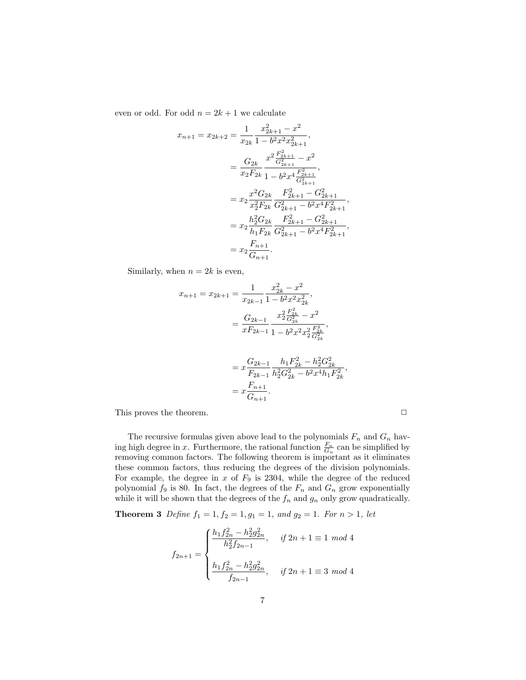even or odd. For odd  $n = 2k + 1$  we calculate

$$
x_{n+1} = x_{2k+2} = \frac{1}{x_{2k}} \frac{x_{2k+1}^2 - x^2}{1 - b^2 x^2 x_{2k+1}^2},
$$
  
\n
$$
= \frac{G_{2k}}{x_2 F_{2k}} \frac{x^2 \frac{F_{2k+1}^2}{G_{2k+1}^2} - x^2}{1 - b^2 x^4 \frac{F_{2k+1}^2}{G_{2k+1}^2}},
$$
  
\n
$$
= x_2 \frac{x^2 G_{2k}}{x_2^2 F_{2k}} \frac{F_{2k+1}^2 - G_{2k+1}^2}{G_{2k+1}^2 - b^2 x^4 F_{2k+1}^2},
$$
  
\n
$$
= x_2 \frac{h_2^2 G_{2k}}{h_1 F_{2k}} \frac{F_{2k+1}^2 - G_{2k+1}^2}{G_{2k+1}^2 - b^2 x^4 F_{2k+1}^2},
$$
  
\n
$$
= x_2 \frac{F_{n+1}}{G_{n+1}}.
$$

Similarly, when  $n = 2k$  is even,

$$
x_{n+1} = x_{2k+1} = \frac{1}{x_{2k-1}} \frac{x_{2k}^2 - x^2}{1 - b^2 x^2 x_{2k}^2},
$$
  

$$
= \frac{G_{2k-1}}{x F_{2k-1}} \frac{x_2^2 \frac{F_{2k}^2}{G_{2k}^2} - x^2}{1 - b^2 x^2 x_2^2 \frac{F_{2k}^2}{G_{2k}^2}},
$$
  

$$
= x \frac{G_{2k-1}}{F_{2k-1}} \frac{h_1 F_{2k}^2 - h_2^2 G_{2k}^2}{h_2^2 G_{2k}^2 - b^2 x^4 h_1 F_{2k}^2},
$$
  

$$
= x \frac{F_{n+1}}{G_{n+1}}.
$$

This proves the theorem.  $\Box$ 

The recursive formulas given above lead to the polynomials  $F_n$  and  $G_n$  having high degree in x. Furthermore, the rational function  $\frac{F_n}{G_n}$  can be simplified by removing common factors. The following theorem is important as it eliminates these common factors, thus reducing the degrees of the division polynomials. For example, the degree in  $x$  of  $F_9$  is 2304, while the degree of the reduced polynomial  $f_9$  is 80. In fact, the degrees of the  $F_n$  and  $G_n$  grow exponentially while it will be shown that the degrees of the  $f_n$  and  $g_n$  only grow quadratically.

**Theorem 3** Define  $f_1 = 1, f_2 = 1, g_1 = 1, and g_2 = 1$ . For  $n > 1$ , let

$$
f_{2n+1} = \begin{cases} \frac{h_1 f_{2n}^2 - h_2^2 g_{2n}^2}{h_2^2 f_{2n-1}}, & \text{if } 2n+1 \equiv 1 \mod 4 \\ \\ \frac{h_1 f_{2n}^2 - h_2^2 g_{2n}^2}{f_{2n-1}}, & \text{if } 2n+1 \equiv 3 \mod 4 \end{cases}
$$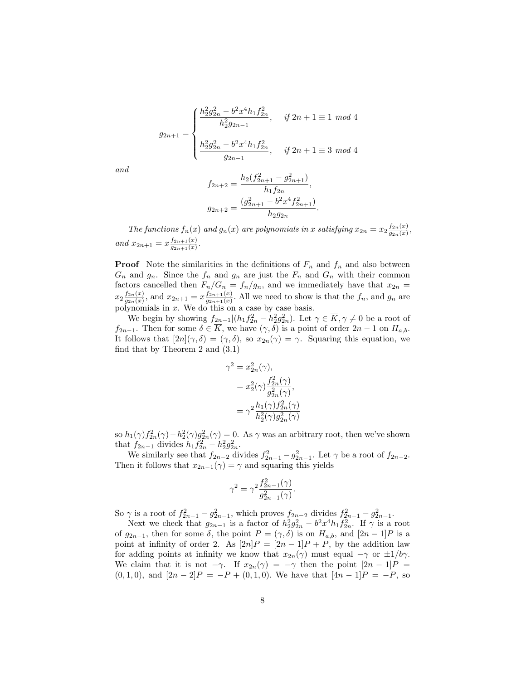$$
g_{2n+1} = \begin{cases} \frac{h_2^2 g_{2n}^2 - b^2 x^4 h_1 f_{2n}^2}{h_2^2 g_{2n-1}}, & \text{if } 2n+1 \equiv 1 \mod 4\\ \frac{h_2^2 g_{2n}^2 - b^2 x^4 h_1 f_{2n}^2}{g_{2n-1}}, & \text{if } 2n+1 \equiv 3 \mod 4 \end{cases}
$$

 $22.29$ 

and

$$
f_{2n+2} = \frac{h_2(f_{2n+1}^2 - g_{2n+1}^2)}{h_1 f_{2n}},
$$
  

$$
g_{2n+2} = \frac{(g_{2n+1}^2 - b^2 x^4 f_{2n+1}^2)}{h_2 g_{2n}}.
$$

The functions  $f_n(x)$  and  $g_n(x)$  are polynomials in x satisfying  $x_{2n} = x_2 \frac{f_{2n}(x)}{g_{2n}(x)}$  $\frac{J_{2n}(x)}{g_{2n}(x)},$ and  $x_{2n+1} = x \frac{f_{2n+1}(x)}{g_{2n+1}(x)}$  $g_{2n+1}(x)$ .

**Proof** Note the similarities in the definitions of  $F_n$  and  $f_n$  and also between  $G_n$  and  $g_n$ . Since the  $f_n$  and  $g_n$  are just the  $F_n$  and  $G_n$  with their common factors cancelled then  $F_n/G_n = f_n/g_n$ , and we immediately have that  $x_{2n} =$  $x_2 \frac{f_{2n}(x)}{g_{2n}(x)}$  $\frac{f_{2n}(x)}{g_{2n}(x)}$ , and  $x_{2n+1} = x \frac{f_{2n+1}(x)}{g_{2n+1}(x)}$  $\frac{f_{2n+1}(x)}{g_{2n+1}(x)}$ . All we need to show is that the  $f_n$ , and  $g_n$  are polynomials in x. We do this on a case by case basis.

We begin by showing  $f_{2n-1}|(h_1f_{2n}^2 - h_2^2g_{2n}^2)$ . Let  $\gamma \in \overline{K}, \gamma \neq 0$  be a root of  $f_{2n-1}$ . Then for some  $\delta \in \overline{K}$ , we have  $(\gamma, \delta)$  is a point of order  $2n-1$  on  $H_{a,b}$ . It follows that  $[2n](\gamma, \delta) = (\gamma, \delta)$ , so  $x_{2n}(\gamma) = \gamma$ . Squaring this equation, we find that by Theorem 2 and (3.1)

$$
\gamma^2 = x_{2n}^2(\gamma),
$$
  
=  $x_2^2(\gamma) \frac{f_{2n}^2(\gamma)}{g_{2n}^2(\gamma)},$   
=  $\gamma^2 \frac{h_1(\gamma) f_{2n}^2(\gamma)}{h_2^2(\gamma) g_{2n}^2(\gamma)}$ 

so  $h_1(\gamma) f_{2n}^2(\gamma) - h_2^2(\gamma) g_{2n}^2(\gamma) = 0$ . As  $\gamma$  was an arbitrary root, then we've shown that  $f_{2n-1}$  divides  $h_1 f_{2n}^2 - h_2^2 g_{2n}^2$ .

We similarly see that  $f_{2n-2}$  divides  $f_{2n-1}^2 - g_{2n-1}^2$ . Let  $\gamma$  be a root of  $f_{2n-2}$ . Then it follows that  $x_{2n-1}(\gamma) = \gamma$  and squaring this yields

$$
\gamma^2 = \gamma^2 \frac{f_{2n-1}^2(\gamma)}{g_{2n-1}^2(\gamma)}.
$$

So  $\gamma$  is a root of  $f_{2n-1}^2 - g_{2n-1}^2$ , which proves  $f_{2n-2}$  divides  $f_{2n-1}^2 - g_{2n-1}^2$ .

Next we check that  $g_{2n-1}$  is a factor of  $h_2^2 g_{2n}^2 - b^2 x^4 h_1 f_{2n}^2$ . If  $\gamma$  is a root of  $g_{2n-1}$ , then for some  $\delta$ , the point  $P = (\gamma, \delta)$  is on  $H_{a,b}$ , and  $[2n-1]P$  is a point at infinity of order 2. As  $[2n]P = [2n-1]P + P$ , by the addition law for adding points at infinity we know that  $x_{2n}(\gamma)$  must equal  $-\gamma$  or  $\pm 1/b\gamma$ . We claim that it is not  $-\gamma$ . If  $x_{2n}(\gamma) = -\gamma$  then the point  $[2n-1]P =$  $(0, 1, 0)$ , and  $[2n - 2]P = -P + (0, 1, 0)$ . We have that  $[4n - 1]P = -P$ , so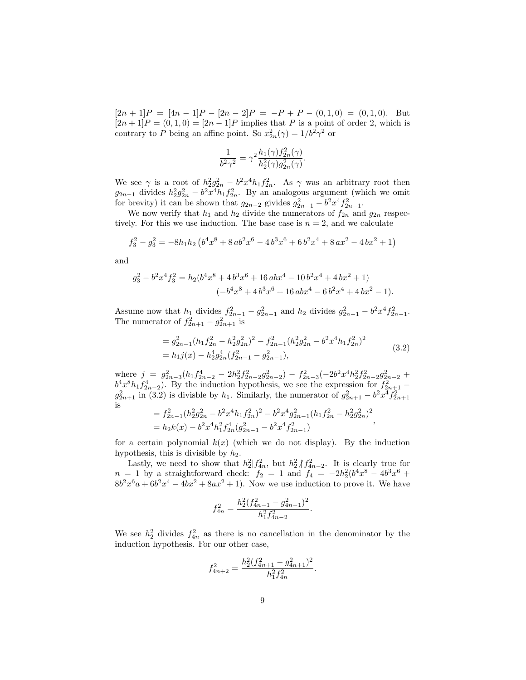$[2n+1]P = [4n-1]P - [2n-2]P = -P + P - (0,1,0) = (0,1,0).$  But  $[2n+1]P = (0,1,0) = [2n-1]P$  implies that P is a point of order 2, which is contrary to P being an affine point. So  $x_{2n}^2(\gamma) = 1/b^2 \gamma^2$  or

$$
\frac{1}{b^2\gamma^2} = \gamma^2 \frac{h_1(\gamma) f_{2n}^2(\gamma)}{h_2^2(\gamma) g_{2n}^2(\gamma)}.
$$

We see  $\gamma$  is a root of  $h_2^2 g_{2n}^2 - b^2 x^4 h_1 f_{2n}^2$ . As  $\gamma$  was an arbitrary root then  $g_{2n-1}$  divides  $h_2^2 g_{2n}^2 - b^2 x^4 h_1 f_{2n}^2$ . By an analogous argument (which we omit for brevity) it can be shown that  $g_{2n-2}$  givides  $g_{2n-1}^2 - b^2 x^4 f_{2n-1}^2$ .

We now verify that  $h_1$  and  $h_2$  divide the numerators of  $f_{2n}$  and  $g_{2n}$  respectively. For this we use induction. The base case is  $n = 2$ , and we calculate

$$
f_3^2 - g_3^2 = -8h_1h_2\left(b^4x^8 + 8ab^2x^6 - 4b^3x^6 + 6b^2x^4 + 8ax^2 - 4bx^2 + 1\right)
$$

and

$$
g_3^2 - b^2 x^4 f_3^2 = h_2 (b^4 x^8 + 4 b^3 x^6 + 16 a b x^4 - 10 b^2 x^4 + 4 b x^2 + 1)
$$
  

$$
(-b^4 x^8 + 4 b^3 x^6 + 16 a b x^4 - 6 b^2 x^4 + 4 b x^2 - 1).
$$

Assume now that  $h_1$  divides  $f_{2n-1}^2 - g_{2n-1}^2$  and  $h_2$  divides  $g_{2n-1}^2 - b^2 x^4 f_{2n-1}^2$ . The numerator of  $f_{2n+1}^2 - g_{2n+1}^2$  is

$$
= g_{2n-1}^2 (h_1 f_{2n}^2 - h_2^2 g_{2n}^2)^2 - f_{2n-1}^2 (h_2^2 g_{2n}^2 - b^2 x^4 h_1 f_{2n}^2)^2
$$
  
=  $h_1 j(x) - h_2^4 g_{2n}^4 (f_{2n-1}^2 - g_{2n-1}^2)$ , (3.2)

,

where  $j = g_{2n-3}^2(h_1f_{2n-2}^4 - 2h_2^2f_{2n-2}^2g_{2n-2}^2) - f_{2n-3}^2(-2b^2x^4h_2^2f_{2n-2}^2g_{2n-2}^2 +$  $b^4x^8h_1f_{2n-2}^4$ ). By the induction hypothesis, we see the expression for  $f_{2n+1}^2$  –  $g_{2n+1}^2$  in (3.2) is divisble by  $h_1$ . Similarly, the numerator of  $g_{2n+1}^2 - b^2 x^4 f_{2n+1}^2$  is 

$$
= f_{2n-1}^2 (h_2^2 g_{2n}^2 - b^2 x^4 h_1 f_{2n}^2)^2 - b^2 x^4 g_{2n-1}^2 (h_1 f_{2n}^2 - h_2^2 g_{2n}^2)^2
$$
  
=  $h_2 k(x) - b^2 x^4 h_1^2 f_{2n}^4 (g_{2n-1}^2 - b^2 x^4 f_{2n-1}^2)$ 

for a certain polynomial  $k(x)$  (which we do not display). By the induction hypothesis, this is divisible by  $h_2$ .

Lastly, we need to show that  $h_2^2/f_{4n}^2$ , but  $h_2^2/f_{4n-2}^2$ . It is clearly true for  $n = 1$  by a straightforward check:  $f_2 = 1$  and  $f_4 = -2h_2^2(b^4x^8 - 4b^3x^6 +$  $8b<sup>2</sup>x<sup>6</sup>a + 6b<sup>2</sup>x<sup>4</sup> - 4bx<sup>2</sup> + 8ax<sup>2</sup> + 1$ . Now we use induction to prove it. We have

$$
f_{4n}^2 = \frac{h_2^2 (f_{4n-1}^2 - g_{4n-1}^2)^2}{h_1^2 f_{4n-2}^2}.
$$

We see  $h_2^2$  divides  $f_{4n}^2$  as there is no cancellation in the denominator by the induction hypothesis. For our other case,

$$
f_{4n+2}^2 = \frac{h_2^2 (f_{4n+1}^2 - g_{4n+1}^2)^2}{h_1^2 f_{4n}^2}
$$

.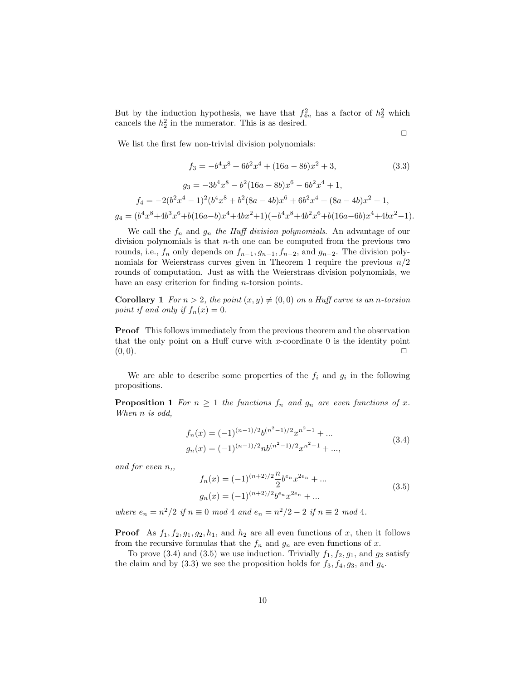But by the induction hypothesis, we have that  $f_{4n}^2$  has a factor of  $h_2^2$  which cancels the  $h_2^2$  in the numerator. This is as desired.

 $\Box$ 

We list the first few non-trivial division polynomials:

$$
f_3 = -b^4x^8 + 6b^2x^4 + (16a - 8b)x^2 + 3,
$$
\n(3.3)  
\n
$$
g_3 = -3b^4x^8 - b^2(16a - 8b)x^6 - 6b^2x^4 + 1,
$$
\n
$$
f_4 = -2(b^2x^4 - 1)^2(b^4x^8 + b^2(8a - 4b)x^6 + 6b^2x^4 + (8a - 4b)x^2 + 1,
$$
\n
$$
g_4 = (b^4x^8 + 4b^3x^6 + b(16a - b)x^4 + 4bx^2 + 1)(-b^4x^8 + 4b^2x^6 + b(16a - 6b)x^4 + 4bx^2 - 1).
$$

We call the  $f_n$  and  $g_n$  the Huff division polynomials. An advantage of our division polynomials is that  $n$ -th one can be computed from the previous two rounds, i.e.,  $f_n$  only depends on  $f_{n-1}, g_{n-1}, f_{n-2}$ , and  $g_{n-2}$ . The division polynomials for Weierstrass curves given in Theorem 1 require the previous  $n/2$ rounds of computation. Just as with the Weierstrass division polynomials, we have an easy criterion for finding *n*-torsion points.

**Corollary 1** For  $n > 2$ , the point  $(x, y) \neq (0, 0)$  on a Huff curve is an n-torsion point if and only if  $f_n(x) = 0$ .

Proof This follows immediately from the previous theorem and the observation that the only point on a Huff curve with  $x$ -coordinate 0 is the identity point  $(0,0).$ 

We are able to describe some properties of the  $f_i$  and  $g_i$  in the following propositions.

**Proposition 1** For  $n \geq 1$  the functions  $f_n$  and  $g_n$  are even functions of x. When n is odd,

$$
f_n(x) = (-1)^{(n-1)/2} b^{(n^2-1)/2} x^{n^2-1} + \dots
$$
  
\n
$$
g_n(x) = (-1)^{(n-1)/2} nb^{(n^2-1)/2} x^{n^2-1} + \dots,
$$
\n(3.4)

and for even n,,

$$
f_n(x) = (-1)^{(n+2)/2} \frac{n}{2} b^{e_n} x^{2e_n} + \dots
$$
  
\n
$$
g_n(x) = (-1)^{(n+2)/2} b^{e_n} x^{2e_n} + \dots
$$
\n(3.5)

where  $e_n = n^2/2$  if  $n \equiv 0 \mod 4$  and  $e_n = n^2/2 - 2$  if  $n \equiv 2 \mod 4$ .

**Proof** As  $f_1, f_2, g_1, g_2, h_1$ , and  $h_2$  are all even functions of x, then it follows from the recursive formulas that the  $f_n$  and  $g_n$  are even functions of x.

To prove (3.4) and (3.5) we use induction. Trivially  $f_1, f_2, g_1$ , and  $g_2$  satisfy the claim and by  $(3.3)$  we see the proposition holds for  $f_3, f_4, g_3$ , and  $g_4$ .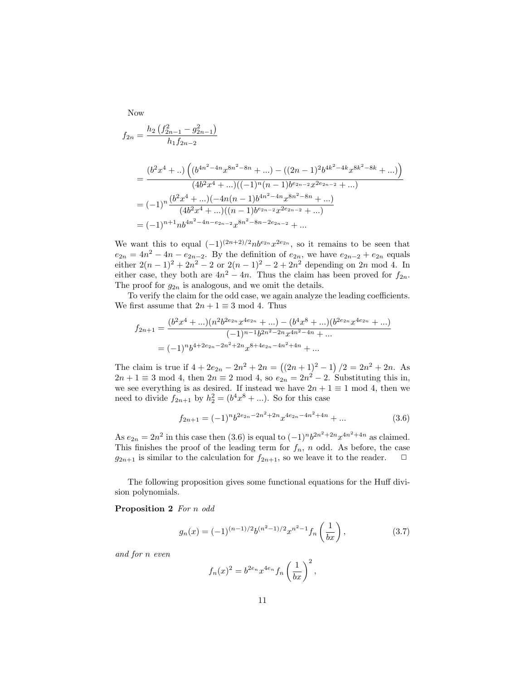Now  
\n
$$
f_{2n} = \frac{h_2 \left(f_{2n-1}^2 - g_{2n-1}^2\right)}{h_1 f_{2n-2}}
$$
\n
$$
= \frac{\left(b^2 x^4 + \dots\right) \left(\left(b^{4n^2 - 4n} x^{8n^2 - 8n} + \dots\right) - \left((2n - 1)^2 b^{4k^2 - 4k} x^{8k^2 - 8k} + \dots\right)\right)}{(4b^2 x^4 + \dots)((-1)^n (n - 1) b^{e_{2n-2}} x^{2e_{2n-2}} + \dots)}
$$
\n
$$
= (-1)^n \frac{\left(b^2 x^4 + \dots\right) \left(-4n(n - 1) b^{4n^2 - 4n} x^{8n^2 - 8n} + \dots\right)}{(4b^2 x^4 + \dots)((n - 1) b^{e_{2n-2}} x^{2e_{2n-2}} + \dots)}
$$
\n
$$
= (-1)^{n+1} n b^{4n^2 - 4n - e_{2n-2}} x^{8n^2 - 8n - 2e_{2n-2}} + \dots
$$

We want this to equal  $(-1)^{(2n+2)/2}$ nb<sup>e2n</sup>  $x^{2e_{2n}}$ , so it remains to be seen that  $e_{2n} = 4n^2 - 4n - e_{2n-2}$ . By the definition of  $e_{2n}$ , we have  $e_{2n-2} + e_{2n}$  equals either  $2(n-1)^2 + 2n^2 - 2$  or  $2(n-1)^2 - 2 + 2n^2$  depending on 2n mod 4. In either case, they both are  $4n^2 - 4n$ . Thus the claim has been proved for  $f_{2n}$ . The proof for  $q_{2n}$  is analogous, and we omit the details.

To verify the claim for the odd case, we again analyze the leading coefficients. We first assume that  $2n + 1 \equiv 3 \mod 4$ . Thus

$$
f_{2n+1} = \frac{(b^2x^4 + ...) (n^2b^{2e_{2n}}x^{4e_{2n}} + ...) - (b^4x^8 + ...) (b^{2e_{2n}}x^{4e_{2n}} + ...)}{(-1)^{n-1}b^{2n^2 - 2n}x^{4n^2 - 4n} + ...}
$$
  
=  $(-1)^n b^{4+2e_{2n} - 2n^2 + 2n}x^{8+4e_{2n} - 4n^2 + 4n} + ...$ 

The claim is true if  $4 + 2e_{2n} - 2n^2 + 2n = ((2n + 1)^2 - 1)/2 = 2n^2 + 2n$ . As  $2n + 1 \equiv 3 \mod 4$ , then  $2n \equiv 2 \mod 4$ , so  $e_{2n} = 2n^2 - 2$ . Substituting this in, we see everything is as desired. If instead we have  $2n + 1 \equiv 1 \mod 4$ , then we need to divide  $f_{2n+1}$  by  $h_2^2 = (b^4x^8 + \ldots)$ . So for this case

$$
f_{2n+1} = (-1)^n b^{2e_{2n} - 2n^2 + 2n} x^{4e_{2n} - 4n^2 + 4n} + \dots \tag{3.6}
$$

As  $e_{2n} = 2n^2$  in this case then  $(3.6)$  is equal to  $(-1)^n b^{2n^2 + 2n} x^{4n^2 + 4n}$  as claimed. This finishes the proof of the leading term for  $f_n$ , n odd. As before, the case  $g_{2n+1}$  is similar to the calculation for  $f_{2n+1}$ , so we leave it to the reader.  $\Box$ 

The following proposition gives some functional equations for the Huff division polynomials.

Proposition 2 For n odd

$$
g_n(x) = (-1)^{(n-1)/2} b^{(n^2-1)/2} x^{n^2-1} f_n\left(\frac{1}{bx}\right), \qquad (3.7)
$$

and for n even

$$
f_n(x)^2 = b^{2e_n} x^{4e_n} f_n\left(\frac{1}{bx}\right)^2,
$$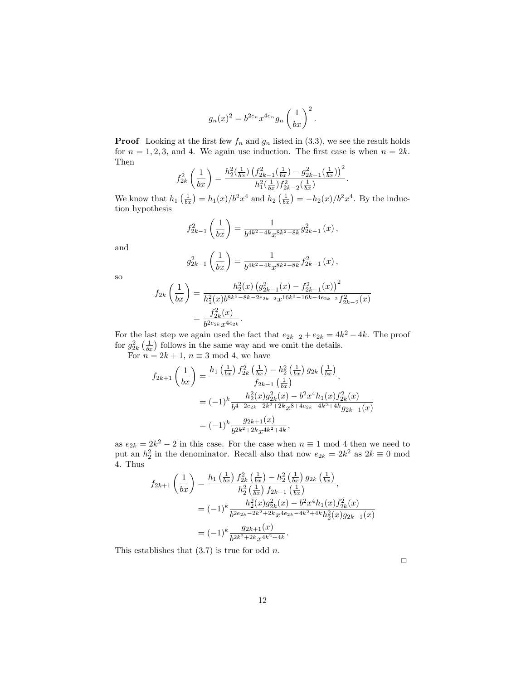$$
g_n(x)^2 = b^{2e_n} x^{4e_n} g_n\left(\frac{1}{bx}\right)^2.
$$

**Proof** Looking at the first few  $f_n$  and  $g_n$  listed in (3.3), we see the result holds for  $n = 1, 2, 3$ , and 4. We again use induction. The first case is when  $n = 2k$ . Then  $\overline{2}$ 

$$
f_{2k}^2\left(\frac{1}{bx}\right) = \frac{h_2^2(\frac{1}{bx})\left(f_{2k-1}^2(\frac{1}{bx}) - g_{2k-1}^2(\frac{1}{bx})\right)^2}{h_1^2(\frac{1}{bx})f_{2k-2}^2(\frac{1}{bx})}.
$$

We know that  $h_1\left(\frac{1}{bx}\right) = h_1(x)/b^2x^4$  and  $h_2\left(\frac{1}{bx}\right) = -h_2(x)/b^2x^4$ . By the induction hypothesis

$$
f_{2k-1}^2\left(\frac{1}{bx}\right) = \frac{1}{b^{4k^2 - 4k}x^{8k^2 - 8k}}g_{2k-1}^2(x),
$$

and

$$
g_{2k-1}^2\left(\frac{1}{bx}\right) = \frac{1}{b^{4k^2-4k}x^{8k^2-8k}}f_{2k-1}^2(x),
$$

so

$$
f_{2k}\left(\frac{1}{bx}\right) = \frac{h_2^2(x)\left(g_{2k-1}^2(x) - f_{2k-1}^2(x)\right)^2}{h_1^2(x)b^{8k^2 - 8k - 2e_{2k-2}}x^{16k^2 - 16k - 4e_{2k-2}}f_{2k-2}^2(x)}
$$

$$
= \frac{f_{2k}^2(x)}{b^{2e_{2k}}x^{4e_{2k}}}.
$$

For the last step we again used the fact that  $e_{2k-2} + e_{2k} = 4k^2 - 4k$ . The proof for  $g_{2k}^2\left(\frac{1}{bx}\right)$  follows in the same way and we omit the details.

For  $n = 2k + 1$ ,  $n \equiv 3 \mod 4$ , we have

$$
f_{2k+1}\left(\frac{1}{bx}\right) = \frac{h_1\left(\frac{1}{bx}\right)f_{2k}^2\left(\frac{1}{bx}\right) - h_2^2\left(\frac{1}{bx}\right)g_{2k}\left(\frac{1}{bx}\right)}{f_{2k-1}\left(\frac{1}{bx}\right)},
$$
  

$$
= (-1)^k \frac{h_2^2(x)g_{2k}^2(x) - b^2x^4h_1(x)f_{2k}^2(x)}{b^{4+2e_{2k}-2k^2+2k}x^{8+4e_{2k}-4k^2+4k}g_{2k-1}(x)}
$$
  

$$
= (-1)^k \frac{g_{2k+1}(x)}{b^{2k^2+2k}x^{4k^2+4k}},
$$

as  $e_{2k} = 2k^2 - 2$  in this case. For the case when  $n \equiv 1 \mod 4$  then we need to put an  $h_2^2$  in the denominator. Recall also that now  $e_{2k} = 2k^2$  as  $2k \equiv 0 \mod 2$ 4. Thus

$$
f_{2k+1}\left(\frac{1}{bx}\right) = \frac{h_1\left(\frac{1}{bx}\right)f_{2k}^2\left(\frac{1}{bx}\right) - h_2^2\left(\frac{1}{bx}\right)g_{2k}\left(\frac{1}{bx}\right)}{h_2^2\left(\frac{1}{bx}\right)f_{2k-1}\left(\frac{1}{bx}\right)},
$$
  

$$
= (-1)^k \frac{h_2^2(x)g_{2k}^2(x) - b^2x^4h_1(x)f_{2k}^2(x)}{b^{2e_{2k}-2k^2+2k}x^{4e_{2k}-4k^2+4k}h_2^2(x)g_{2k-1}(x)}
$$
  

$$
= (-1)^k \frac{g_{2k+1}(x)}{b^{2k^2+2k}x^{4k^2+4k}}.
$$

This establishes that  $(3.7)$  is true for odd *n*.

 $\Box$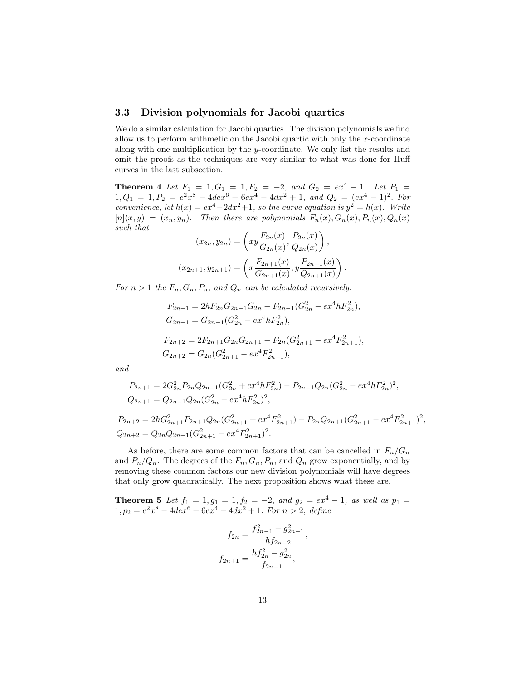#### 3.3 Division polynomials for Jacobi quartics

We do a similar calculation for Jacobi quartics. The division polynomials we find allow us to perform arithmetic on the Jacobi quartic with only the  $x$ -coordinate along with one multiplication by the y-coordinate. We only list the results and omit the proofs as the techniques are very similar to what was done for Huff curves in the last subsection.

**Theorem 4** Let  $F_1 = 1, G_1 = 1, F_2 = -2, and G_2 = ex^4 - 1.$  Let  $P_1 =$  $1, Q_1 = 1, P_2 = e^2x^8 - 4de^{6}x^6 + 6ex^4 - 4dx^2 + 1$ , and  $Q_2 = (ex^4 - 1)^2$ . For convenience, let  $h(x) = ex^4-2dx^2+1$ , so the curve equation is  $y^2 = h(x)$ . Write  $[n](x, y) = (x_n, y_n)$ . Then there are polynomials  $F_n(x), G_n(x), P_n(x), Q_n(x)$ such that

$$
(x_{2n}, y_{2n}) = \left(xy\frac{F_{2n}(x)}{G_{2n}(x)}, \frac{P_{2n}(x)}{Q_{2n}(x)}\right),
$$

$$
(x_{2n+1}, y_{2n+1}) = \left(x\frac{F_{2n+1}(x)}{G_{2n+1}(x)}, y\frac{P_{2n+1}(x)}{Q_{2n+1}(x)}\right)
$$

.

For  $n > 1$  the  $F_n, G_n, P_n$ , and  $Q_n$  can be calculated recursively:

$$
F_{2n+1} = 2hF_{2n}G_{2n-1}G_{2n} - F_{2n-1}(G_{2n}^2 - ex^4hF_{2n}^2),
$$
  
\n
$$
G_{2n+1} = G_{2n-1}(G_{2n}^2 - ex^4hF_{2n}^2),
$$
  
\n
$$
F_{2n+2} = 2F_{2n+1}G_{2n}G_{2n+1} - F_{2n}(G_{2n+1}^2 - ex^4F_{2n+1}^2),
$$
  
\n
$$
G_{2n+2} = G_{2n}(G_{2n+1}^2 - ex^4F_{2n+1}^2),
$$

and

$$
P_{2n+1} = 2G_{2n}^2 P_{2n} Q_{2n-1} (G_{2n}^2 + e x^4 h F_{2n}^2) - P_{2n-1} Q_{2n} (G_{2n}^2 - e x^4 h F_{2n}^2)^2,
$$
  
\n
$$
Q_{2n+1} = Q_{2n-1} Q_{2n} (G_{2n}^2 - e x^4 h F_{2n}^2)^2,
$$
  
\n
$$
P_{2n+2} = 2hG_{2n+1}^2 P_{2n+1} Q_{2n} (G_{2n+1}^2 + e x^4 F_{2n+1}^2) - P_{2n} Q_{2n+1} (G_{2n+1}^2 - e x^4 F_{2n+1}^2)^2,
$$

 $\frac{1}{2n+1}$  $Q_{2n+2} = Q_{2n} Q_{2n+1} (G_{2n+1}^2 - e x^4 F_{2n+1}^2)^2.$ 

As before, there are some common factors that can be cancelled in  $F_n/G_n$ and  $P_n/Q_n$ . The degrees of the  $F_n, G_n, P_n$ , and  $Q_n$  grow exponentially, and by removing these common factors our new division polynomials will have degrees that only grow quadratically. The next proposition shows what these are.

**Theorem 5** Let  $f_1 = 1, g_1 = 1, f_2 = -2, and g_2 = ex^4 - 1, as well as  $p_1 =$$  $1, p_2 = e^2x^8 - 4dex^6 + 6ex^4 - 4dx^2 + 1$ . For  $n > 2$ , define

$$
f_{2n} = \frac{f_{2n-1}^2 - g_{2n-1}^2}{h f_{2n-2}},
$$

$$
f_{2n+1} = \frac{h f_{2n}^2 - g_{2n}^2}{f_{2n-1}},
$$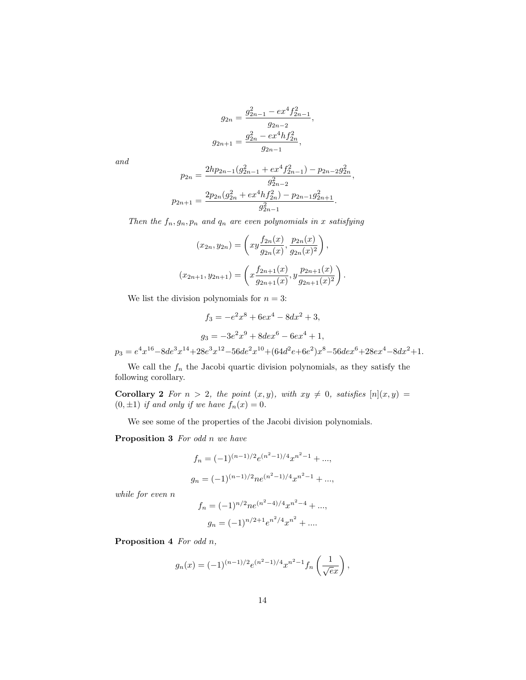$$
g_{2n} = \frac{g_{2n-1}^2 - ex^4 f_{2n-1}^2}{g_{2n-2}},
$$

$$
g_{2n+1} = \frac{g_{2n}^2 - ex^4 h f_{2n}^2}{g_{2n-1}},
$$

and

$$
p_{2n} = \frac{2hp_{2n-1}(g_{2n-1}^2 + ex^4f_{2n-1}^2) - p_{2n-2}g_{2n}^2}{g_{2n-2}^2},
$$
  

$$
p_{2n+1} = \frac{2p_{2n}(g_{2n}^2 + ex^4hf_{2n}^2) - p_{2n-1}g_{2n+1}^2}{g_{2n-1}^2}.
$$

Then the  $f_n, g_n, p_n$  and  $q_n$  are even polynomials in x satisfying

$$
(x_{2n}, y_{2n}) = \left( xy \frac{f_{2n}(x)}{g_{2n}(x)}, \frac{p_{2n}(x)}{g_{2n}(x)^2} \right),
$$

$$
(x_{2n+1}, y_{2n+1}) = \left( x \frac{f_{2n+1}(x)}{g_{2n+1}(x)}, y \frac{p_{2n+1}(x)}{g_{2n+1}(x)^2} \right).
$$

We list the division polynomials for  $n = 3$ :

$$
f_3 = -e^2x^8 + 6ex^4 - 8dx^2 + 3,
$$
  
\n
$$
g_3 = -3e^2x^9 + 8dex^6 - 6ex^4 + 1,
$$
  
\n
$$
p_3 = e^4x^{16} - 8de^3x^{14} + 28e^3x^{12} - 56de^2x^{10} + (64d^2e + 6e^2)x^8 - 56de^2x^6 + 28ex^4 - 8dx^2 + 1.
$$

We call the  $f_n$  the Jacobi quartic division polynomials, as they satisfy the following corollary.

Corollary 2 For  $n > 2$ , the point  $(x, y)$ , with  $xy \neq 0$ , satisfies  $[n](x, y) =$  $(0, \pm 1)$  if and only if we have  $f_n(x) = 0$ .

We see some of the properties of the Jacobi division polynomials.

Proposition 3 For odd n we have

$$
f_n = (-1)^{(n-1)/2} e^{(n^2-1)/4} x^{n^2-1} + \dots,
$$
  

$$
g_n = (-1)^{(n-1)/2} n e^{(n^2-1)/4} x^{n^2-1} + \dots,
$$

while for even n

$$
f_n = (-1)^{n/2} n e^{(n^2 - 4)/4} x^{n^2 - 4} + \dots,
$$
  

$$
g_n = (-1)^{n/2 + 1} e^{n^2/4} x^{n^2} + \dots.
$$

Proposition 4 For odd n,

$$
g_n(x) = (-1)^{(n-1)/2} e^{(n^2-1)/4} x^{n^2-1} f_n\left(\frac{1}{\sqrt{e}x}\right),
$$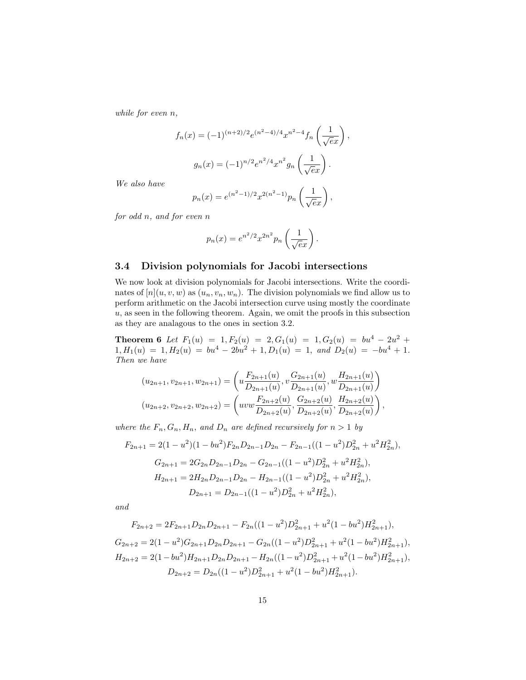while for even n,

$$
f_n(x) = (-1)^{(n+2)/2} e^{(n^2-4)/4} x^{n^2-4} f_n\left(\frac{1}{\sqrt{e}x}\right),
$$

$$
g_n(x) = (-1)^{n/2} e^{n^2/4} x^{n^2} g_n\left(\frac{1}{\sqrt{e}x}\right).
$$

We also have

$$
p_n(x) = e^{(n^2 - 1)/2} x^{2(n^2 - 1)} p_n\left(\frac{1}{\sqrt{e}x}\right),
$$

for odd n, and for even n

$$
p_n(x) = e^{n^2/2} x^{2n^2} p_n\left(\frac{1}{\sqrt{e}x}\right).
$$

### 3.4 Division polynomials for Jacobi intersections

We now look at division polynomials for Jacobi intersections. Write the coordinates of  $[n](u, v, w)$  as  $(u_n, v_n, w_n)$ . The division polynomials we find allow us to perform arithmetic on the Jacobi intersection curve using mostly the coordinate  $u$ , as seen in the following theorem. Again, we omit the proofs in this subsection as they are analagous to the ones in section 3.2.

**Theorem 6** Let  $F_1(u) = 1, F_2(u) = 2, G_1(u) = 1, G_2(u) = bu^4 - 2u^2 +$  $1, H_1(u) = 1, H_2(u) = bu^4 - 2bu^2 + 1, D_1(u) = 1, and D_2(u) = -bu^4 + 1.$ Then we have

$$
(u_{2n+1}, v_{2n+1}, w_{2n+1}) = \left(u \frac{F_{2n+1}(u)}{D_{2n+1}(u)}, v \frac{G_{2n+1}(u)}{D_{2n+1}(u)}, w \frac{H_{2n+1}(u)}{D_{2n+1}(u)}\right)
$$
  

$$
(u_{2n+2}, v_{2n+2}, w_{2n+2}) = \left(uvw \frac{F_{2n+2}(u)}{D_{2n+2}(u)}, \frac{G_{2n+2}(u)}{D_{2n+2}(u)}, \frac{H_{2n+2}(u)}{D_{2n+2}(u)}\right),
$$

where the  $F_n, G_n, H_n$ , and  $D_n$  are defined recursively for  $n > 1$  by

$$
F_{2n+1} = 2(1 - u^2)(1 - bu^2)F_{2n}D_{2n-1}D_{2n} - F_{2n-1}((1 - u^2)D_{2n}^2 + u^2H_{2n}^2),
$$
  
\n
$$
G_{2n+1} = 2G_{2n}D_{2n-1}D_{2n} - G_{2n-1}((1 - u^2)D_{2n}^2 + u^2H_{2n}^2),
$$
  
\n
$$
H_{2n+1} = 2H_{2n}D_{2n-1}D_{2n} - H_{2n-1}((1 - u^2)D_{2n}^2 + u^2H_{2n}^2),
$$
  
\n
$$
D_{2n+1} = D_{2n-1}((1 - u^2)D_{2n}^2 + u^2H_{2n}^2),
$$

and

$$
F_{2n+2} = 2F_{2n+1}D_{2n}D_{2n+1} - F_{2n}((1-u^2)D_{2n+1}^2 + u^2(1-bu^2)H_{2n+1}^2),
$$
  
\n
$$
G_{2n+2} = 2(1-u^2)G_{2n+1}D_{2n}D_{2n+1} - G_{2n}((1-u^2)D_{2n+1}^2 + u^2(1-bu^2)H_{2n+1}^2),
$$
  
\n
$$
H_{2n+2} = 2(1-bu^2)H_{2n+1}D_{2n}D_{2n+1} - H_{2n}((1-u^2)D_{2n+1}^2 + u^2(1-bu^2)H_{2n+1}^2),
$$
  
\n
$$
D_{2n+2} = D_{2n}((1-u^2)D_{2n+1}^2 + u^2(1-bu^2)H_{2n+1}^2).
$$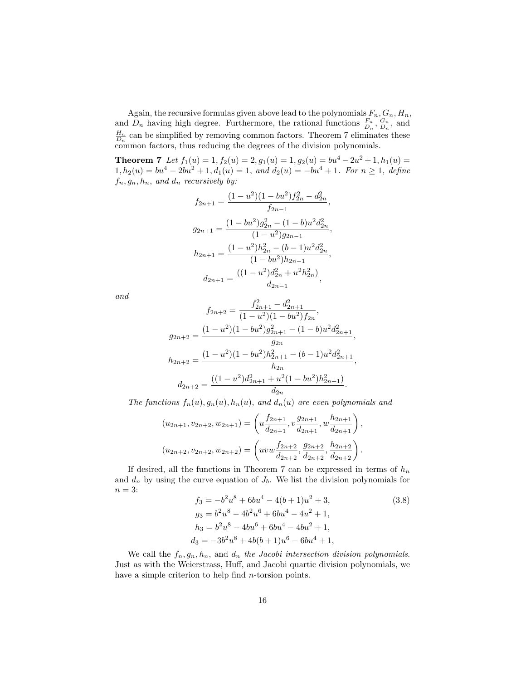Again, the recursive formulas given above lead to the polynomials  $F_n, G_n, H_n$ , and  $D_n$  having high degree. Furthermore, the rational functions  $\frac{F_n}{D_n}, \frac{G_n}{D_n}$ , and  $\frac{H_n}{D_n}$  can be simplified by removing common factors. Theorem 7 eliminates these common factors, thus reducing the degrees of the division polynomials.

**Theorem 7** Let  $f_1(u) = 1$ ,  $f_2(u) = 2$ ,  $g_1(u) = 1$ ,  $g_2(u) = bu^4 - 2u^2 + 1$ ,  $h_1(u) =$  $1, h_2(u) = bu^4 - 2bu^2 + 1, d_1(u) = 1$ , and  $d_2(u) = -bu^4 + 1$ . For  $n \ge 1$ , define  $f_n, g_n, h_n$ , and  $d_n$  recursively by:

$$
f_{2n+1} = \frac{(1 - u^2)(1 - bu^2)f_{2n}^2 - d_{2n}^2}{f_{2n-1}},
$$
  
\n
$$
g_{2n+1} = \frac{(1 - bu^2)g_{2n}^2 - (1 - b)u^2 d_{2n}^2}{(1 - u^2)g_{2n-1}},
$$
  
\n
$$
h_{2n+1} = \frac{(1 - u^2)h_{2n}^2 - (b - 1)u^2 d_{2n}^2}{(1 - bu^2)h_{2n-1}},
$$
  
\n
$$
d_{2n+1} = \frac{((1 - u^2)d_{2n}^2 + u^2 h_{2n}^2)}{d_{2n-1}},
$$

and

$$
f_{2n+2} = \frac{f_{2n+1}^2 - d_{2n+1}^2}{(1 - u^2)(1 - bu^2)f_{2n}},
$$
  
\n
$$
g_{2n+2} = \frac{(1 - u^2)(1 - bu^2)g_{2n+1}^2 - (1 - b)u^2d_{2n+1}^2}{g_{2n}},
$$
  
\n
$$
h_{2n+2} = \frac{(1 - u^2)(1 - bu^2)h_{2n+1}^2 - (b - 1)u^2d_{2n+1}^2}{h_{2n}},
$$
  
\n
$$
d_{2n+2} = \frac{((1 - u^2)d_{2n+1}^2 + u^2(1 - bu^2)h_{2n+1}^2)}{d_{2n}}.
$$

The functions  $f_n(u), g_n(u), h_n(u)$ , and  $d_n(u)$  are even polynomials and

$$
(u_{2n+1}, v_{2n+2}, w_{2n+1}) = \left(u\frac{f_{2n+1}}{d_{2n+1}}, v\frac{g_{2n+1}}{d_{2n+1}}, w\frac{h_{2n+1}}{d_{2n+1}}\right),
$$
  

$$
(u_{2n+2}, v_{2n+2}, w_{2n+2}) = \left(uvw\frac{f_{2n+2}}{d_{2n+2}}, \frac{g_{2n+2}}{d_{2n+2}}, \frac{h_{2n+2}}{d_{2n+2}}\right).
$$

If desired, all the functions in Theorem 7 can be expressed in terms of  $h_n$ and  $d_n$  by using the curve equation of  $J_b$ . We list the division polynomials for  $n = 3$ :

$$
f_3 = -b^2u^8 + 6bu^4 - 4(b+1)u^2 + 3,
$$
  
\n
$$
g_3 = b^2u^8 - 4b^2u^6 + 6bu^4 - 4u^2 + 1,
$$
  
\n
$$
h_3 = b^2u^8 - 4bu^6 + 6bu^4 - 4bu^2 + 1,
$$
  
\n
$$
d_3 = -3b^2u^8 + 4b(b+1)u^6 - 6bu^4 + 1,
$$
 (3.8)

We call the  $f_n, g_n, h_n$ , and  $d_n$  the Jacobi intersection division polynomials. Just as with the Weierstrass, Huff, and Jacobi quartic division polynomials, we have a simple criterion to help find *n*-torsion points.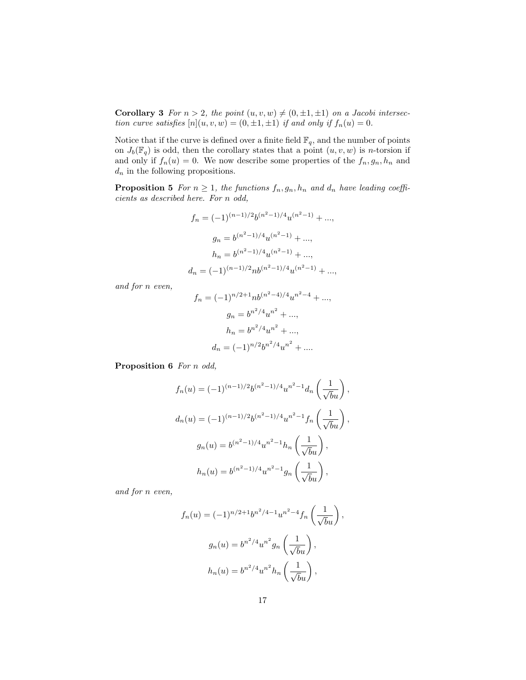**Corollary 3** For  $n > 2$ , the point  $(u, v, w) \neq (0, \pm 1, \pm 1)$  on a Jacobi intersection curve satisfies  $[n](u, v, w) = (0, \pm 1, \pm 1)$  if and only if  $f_n(u) = 0$ .

Notice that if the curve is defined over a finite field  $\mathbb{F}_q$  , and the number of points on  $J_b(\mathbb{F}_q)$  is odd, then the corollary states that a point  $(u, v, w)$  is *n*-torsion if and only if  $f_n(u) = 0$ . We now describe some properties of the  $f_n, g_n, h_n$  and  $d_n$  in the following propositions.

**Proposition 5** For  $n \geq 1$ , the functions  $f_n, g_n, h_n$  and  $d_n$  have leading coefficients as described here. For n odd,

$$
f_n = (-1)^{(n-1)/2} b^{(n^2-1)/4} u^{(n^2-1)} + \dots,
$$
  
\n
$$
g_n = b^{(n^2-1)/4} u^{(n^2-1)} + \dots,
$$
  
\n
$$
h_n = b^{(n^2-1)/4} u^{(n^2-1)} + \dots,
$$
  
\n
$$
d_n = (-1)^{(n-1)/2} n b^{(n^2-1)/4} u^{(n^2-1)} + \dots,
$$

and for n even,

$$
f_n = (-1)^{n/2+1} nb^{(n^2-4)/4}u^{n^2-4} + ...,
$$
  
\n
$$
g_n = b^{n^2/4}u^{n^2} + ...,
$$
  
\n
$$
h_n = b^{n^2/4}u^{n^2} + ...,
$$
  
\n
$$
d_n = (-1)^{n/2}b^{n^2/4}u^{n^2} + ....
$$

Proposition 6 For n odd,

$$
f_n(u) = (-1)^{(n-1)/2} b^{(n^2-1)/4} u^{n^2-1} d_n \left(\frac{1}{\sqrt{b}u}\right),
$$
  

$$
d_n(u) = (-1)^{(n-1)/2} b^{(n^2-1)/4} u^{n^2-1} f_n \left(\frac{1}{\sqrt{b}u}\right),
$$
  

$$
g_n(u) = b^{(n^2-1)/4} u^{n^2-1} h_n \left(\frac{1}{\sqrt{b}u}\right),
$$
  

$$
h_n(u) = b^{(n^2-1)/4} u^{n^2-1} g_n \left(\frac{1}{\sqrt{b}u}\right),
$$

and for n even,

$$
f_n(u) = (-1)^{n/2+1} b^{n^2/4-1} u^{n^2-4} f_n\left(\frac{1}{\sqrt{b}u}\right),
$$
  

$$
g_n(u) = b^{n^2/4} u^{n^2} g_n\left(\frac{1}{\sqrt{b}u}\right),
$$
  

$$
h_n(u) = b^{n^2/4} u^{n^2} h_n\left(\frac{1}{\sqrt{b}u}\right),
$$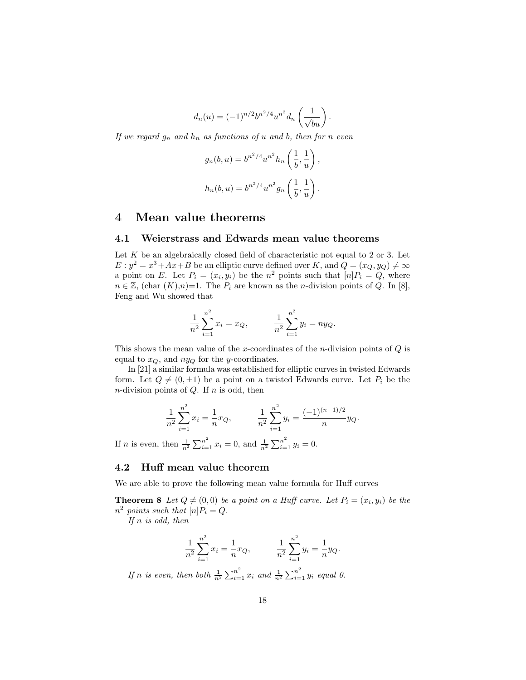$$
d_n(u) = (-1)^{n/2} b^{n^2/4} u^{n^2} d_n \left(\frac{1}{\sqrt{b}u}\right).
$$

If we regard  $g_n$  and  $h_n$  as functions of u and b, then for n even

$$
g_n(b, u) = b^{n^2/4} u^{n^2} h_n\left(\frac{1}{b}, \frac{1}{u}\right),
$$
  

$$
h_n(b, u) = b^{n^2/4} u^{n^2} g_n\left(\frac{1}{b}, \frac{1}{u}\right).
$$

## 4 Mean value theorems

#### 4.1 Weierstrass and Edwards mean value theorems

Let  $K$  be an algebraically closed field of characteristic not equal to 2 or 3. Let  $E: y^2 = x^3 + Ax + B$  be an elliptic curve defined over K, and  $Q = (x_Q, y_Q) \neq \infty$ a point on E. Let  $P_i = (x_i, y_i)$  be the  $n^2$  points such that  $[n]P_i = Q$ , where  $n \in \mathbb{Z}$ , (char  $(K), n$ )=1. The  $P_i$  are known as the *n*-division points of  $Q$ . In [8], Feng and Wu showed that

$$
\frac{1}{n^2} \sum_{i=1}^{n^2} x_i = x_Q, \qquad \frac{1}{n^2} \sum_{i=1}^{n^2} y_i = n y_Q.
$$

This shows the mean value of the x-coordinates of the n-division points of  $Q$  is equal to  $x_Q$ , and  $ny_Q$  for the y-coordinates.

In [21] a similar formula was established for elliptic curves in twisted Edwards form. Let  $Q \neq (0, \pm 1)$  be a point on a twisted Edwards curve. Let  $P_i$  be the *n*-division points of  $Q$ . If  $n$  is odd, then

$$
\frac{1}{n^2} \sum_{i=1}^{n^2} x_i = \frac{1}{n} x_Q, \qquad \frac{1}{n^2} \sum_{i=1}^{n^2} y_i = \frac{(-1)^{(n-1)/2}}{n} y_Q.
$$

If *n* is even, then  $\frac{1}{n^2} \sum_{i=1}^{n^2} x_i = 0$ , and  $\frac{1}{n^2} \sum_{i=1}^{n^2} y_i = 0$ .

## 4.2 Huff mean value theorem

We are able to prove the following mean value formula for Huff curves

**Theorem 8** Let  $Q \neq (0, 0)$  be a point on a Huff curve. Let  $P_i = (x_i, y_i)$  be the  $n^2$  points such that  $[n]P_i = Q$ .

If  $n$  is odd, then

$$
\frac{1}{n^2} \sum_{i=1}^{n^2} x_i = \frac{1}{n} x_Q, \qquad \frac{1}{n^2} \sum_{i=1}^{n^2} y_i = \frac{1}{n} y_Q.
$$

If n is even, then both  $\frac{1}{n^2} \sum_{i=1}^{n^2} x_i$  and  $\frac{1}{n^2} \sum_{i=1}^{n^2} y_i$  equal 0.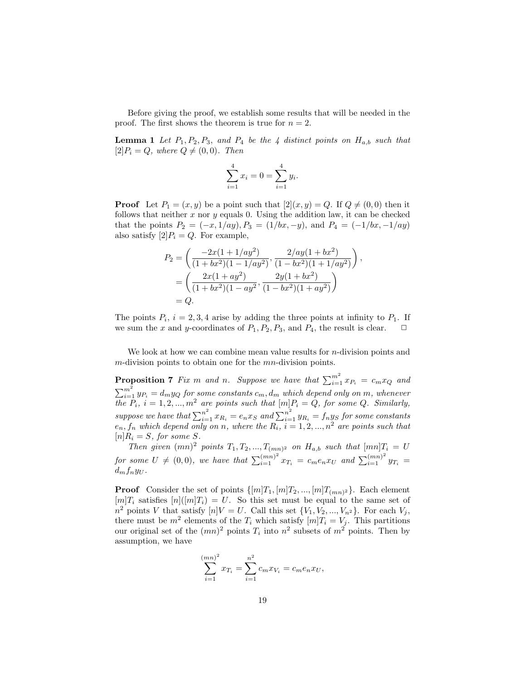Before giving the proof, we establish some results that will be needed in the proof. The first shows the theorem is true for  $n = 2$ .

**Lemma 1** Let  $P_1$ ,  $P_2$ ,  $P_3$ , and  $P_4$  be the 4 distinct points on  $H_{a,b}$  such that  $[2]P_i = Q$ , where  $Q \neq (0, 0)$ . Then

$$
\sum_{i=1}^{4} x_i = 0 = \sum_{i=1}^{4} y_i.
$$

**Proof** Let  $P_1 = (x, y)$  be a point such that  $[2](x, y) = Q$ . If  $Q \neq (0, 0)$  then it follows that neither  $x$  nor  $y$  equals 0. Using the addition law, it can be checked that the points  $P_2 = (-x, 1/ay), P_3 = (1/bx, -y),$  and  $P_4 = (-1/bx, -1/ay)$ also satisfy  $[2]P_i = Q$ . For example,

$$
P_2 = \left(\frac{-2x(1+1/ay^2)}{(1+bx^2)(1-1/ay^2)}, \frac{2/ay(1+bx^2)}{(1-bx^2)(1+1/ay^2)}\right),
$$
  
= 
$$
\left(\frac{2x(1+ay^2)}{(1+bx^2)(1-ay^2)}, \frac{2y(1+bx^2)}{(1-bx^2)(1+ay^2)}\right)
$$
  
= Q.

The points  $P_i$ ,  $i = 2, 3, 4$  arise by adding the three points at infinity to  $P_1$ . If we sum the x and y-coordinates of  $P_1, P_2, P_3$ , and  $P_4$ , the result is clear.  $\Box$ 

We look at how we can combine mean value results for *n*-division points and m-division points to obtain one for the mn-division points.

**Proposition 7** Fix m and n. Suppose we have that  $\sum_{i=1}^{m^2} x_{P_i} = c_m x_Q$  and  $\sum_{i=1}^{m^2} y_{P_i} = d_m y_Q$  for some constants  $c_m, d_m$  which depend only on  $m$ , whenever the  $P_i$ ,  $i = 1, 2, ..., m^2$  are points such that  $[m]P_i = Q$ , for some Q. Similarly, suppose we have that  $\sum_{i=1}^{n^2} x_{R_i} = e_n x_S$  and  $\sum_{i=1}^{n^2} y_{R_i} = f_n y_S$  for some constants  $e_n, f_n$  which depend only on n, where the  $R_i$ ,  $i = 1, 2, ..., n^2$  are points such that  $[n]R_i = S$ , for some S.

Then given  $(mn)^2$  points  $T_1, T_2, ..., T_{(mn)^2}$  on  $H_{a,b}$  such that  $[mn]T_i = U$ for some  $U \neq (0, 0)$ , we have that  $\sum_{i=1}^{(mn)^2} x_{T_i} = c_m e_n x_U$  and  $\sum_{i=1}^{(mn)^2} y_{T_i} =$  $d_m f_n y_U$ .

**Proof** Consider the set of points  $\{[m]T_1, [m]T_2, ..., [m]T_{(mn)^2}\}\$ . Each element  $[m]T_i$  satisfies  $[n]([m]T_i) = U$ . So this set must be equal to the same set of  $n^2$  points V that satisfy  $[n]V = U$ . Call this set  $\{V_1, V_2, ..., V_{n^2}\}$ . For each  $V_j$ , there must be  $m^2$  elements of the  $T_i$  which satisfy  $[m]T_i = V_j$ . This partitions our original set of the  $(mn)^2$  points  $T_i$  into  $n^2$  subsets of  $m^2$  points. Then by assumption, we have

$$
\sum_{i=1}^{(mn)^2} x_{T_i} = \sum_{i=1}^{n^2} c_m x_{V_i} = c_m e_n x_U,
$$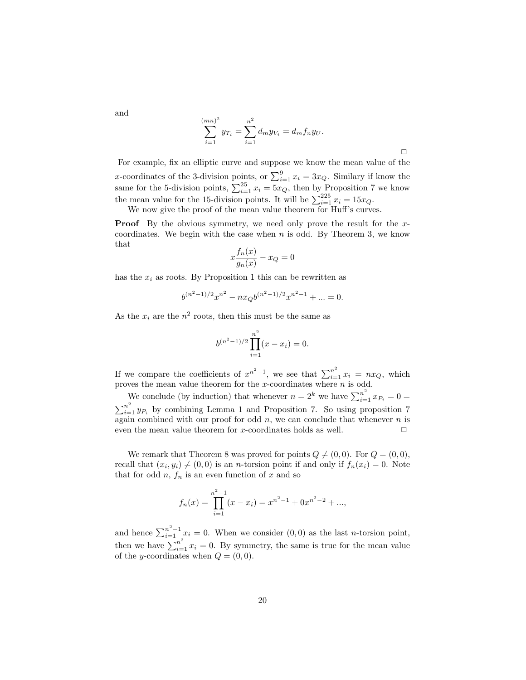$$
\sum_{i=1}^{(mn)^2} y_{T_i} = \sum_{i=1}^{n^2} d_m y_{V_i} = d_m f_n y_U.
$$

For example, fix an elliptic curve and suppose we know the mean value of the x-coordinates of the 3-division points, or  $\sum_{i=1}^{9} x_i = 3x_Q$ . Similary if know the same for the 5-division points,  $\sum_{i=1}^{25} x_i = 5x_Q$ , then by Proposition 7 we know the mean value for the 15-division points. It will be  $\sum_{i=1}^{225} x_i = 15x_Q$ .

We now give the proof of the mean value theorem for Huff's curves.

**Proof** By the obvious symmetry, we need only prove the result for the xcoordinates. We begin with the case when  $n$  is odd. By Theorem 3, we know that

$$
x\frac{f_n(x)}{g_n(x)} - x_Q = 0
$$

has the  $x_i$  as roots. By Proposition 1 this can be rewritten as

$$
b^{(n^2-1)/2}x^{n^2} - nx_Qb^{(n^2-1)/2}x^{n^2-1} + \dots = 0.
$$

As the  $x_i$  are the  $n^2$  roots, then this must be the same as

$$
b^{(n^2-1)/2} \prod_{i=1}^{n^2} (x - x_i) = 0.
$$

If we compare the coefficients of  $x^{n^2-1}$ , we see that  $\sum_{i=1}^{n^2} x_i = nx_Q$ , which proves the mean value theorem for the x-coordinates where  $n$  is odd.

We conclude (by induction) that whenever  $n = 2^k$  we have  $\sum_{i=1}^{n^2} x_{P_i} = 0$  $\sum_{i=1}^{n^2} y_{P_i}$  by combining Lemma 1 and Proposition 7. So using proposition 7 again combined with our proof for odd  $n$ , we can conclude that whenever  $n$  is even the mean value theorem for x-coordinates holds as well.  $\Box$ 

We remark that Theorem 8 was proved for points  $Q \neq (0, 0)$ . For  $Q = (0, 0)$ , recall that  $(x_i, y_i) \neq (0, 0)$  is an *n*-torsion point if and only if  $f_n(x_i) = 0$ . Note that for odd  $n, f_n$  is an even function of x and so

$$
f_n(x) = \prod_{i=1}^{n^2 - 1} (x - x_i) = x^{n^2 - 1} + 0x^{n^2 - 2} + \dots,
$$

and hence  $\sum_{i=1}^{n^2-1} x_i = 0$ . When we consider  $(0,0)$  as the last *n*-torsion point, then we have  $\sum_{i=1}^{n^2} x_i = 0$ . By symmetry, the same is true for the mean value of the y-coordinates when  $Q = (0, 0)$ .

and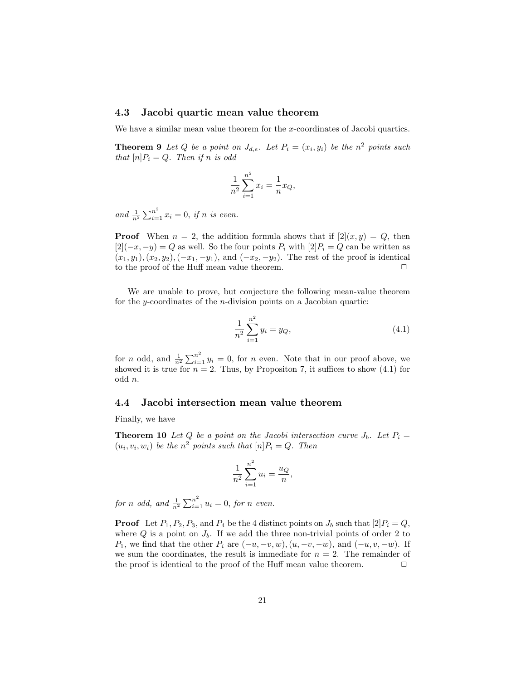### 4.3 Jacobi quartic mean value theorem

We have a similar mean value theorem for the x-coordinates of Jacobi quartics.

**Theorem 9** Let Q be a point on  $J_{d,e}$ . Let  $P_i = (x_i, y_i)$  be the  $n^2$  points such that  $[n]P_i = Q$ . Then if n is odd

$$
\frac{1}{n^2} \sum_{i=1}^{n^2} x_i = \frac{1}{n} x_Q,
$$

and  $\frac{1}{n^2} \sum_{i=1}^{n^2} x_i = 0$ , if n is even.

**Proof** When  $n = 2$ , the addition formula shows that if  $[2](x, y) = Q$ , then  $[2](-x, -y) = Q$  as well. So the four points  $P_i$  with  $[2]P_i = Q$  can be written as  $(x_1, y_1), (x_2, y_2), (-x_1, -y_1),$  and  $(-x_2, -y_2)$ . The rest of the proof is identical to the proof of the Huff mean value theorem.  $\Box$ 

We are unable to prove, but conjecture the following mean-value theorem for the y-coordinates of the  $n$ -division points on a Jacobian quartic:

$$
\frac{1}{n^2} \sum_{i=1}^{n^2} y_i = y_Q,
$$
\n(4.1)

for *n* odd, and  $\frac{1}{n^2} \sum_{i=1}^{n^2} y_i = 0$ , for *n* even. Note that in our proof above, we showed it is true for  $n = 2$ . Thus, by Propositon 7, it suffices to show  $(4.1)$  for odd n.

#### 4.4 Jacobi intersection mean value theorem

Finally, we have

**Theorem 10** Let Q be a point on the Jacobi intersection curve  $J_b$ . Let  $P_i =$  $(u_i, v_i, w_i)$  be the  $n^2$  points such that  $[n]P_i = Q$ . Then

$$
\frac{1}{n^2} \sum_{i=1}^{n^2} u_i = \frac{u_Q}{n}
$$

,

for n odd, and  $\frac{1}{n^2} \sum_{i=1}^{n^2} u_i = 0$ , for n even.

**Proof** Let  $P_1$ ,  $P_2$ ,  $P_3$ , and  $P_4$  be the 4 distinct points on  $J_b$  such that  $[2]P_i = Q$ , where  $Q$  is a point on  $J_b$ . If we add the three non-trivial points of order 2 to  $P_1$ , we find that the other  $P_i$  are  $(-u, -v, w)$ ,  $(u, -v, -w)$ , and  $(-u, v, -w)$ . If we sum the coordinates, the result is immediate for  $n = 2$ . The remainder of the proof is identical to the proof of the Huff mean value theorem.  $\Box$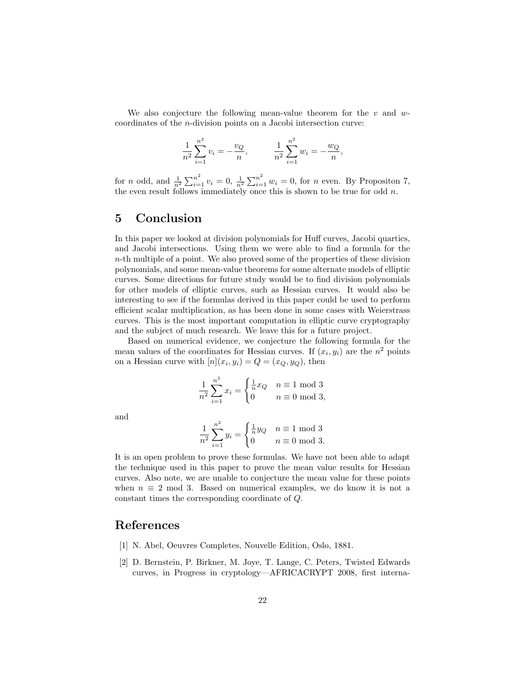We also conjecture the following mean-value theorem for the  $v$  and  $w$ coordinates of the n-division points on a Jacobi intersection curve:

$$
\frac{1}{n^2} \sum_{i=1}^{n^2} v_i = -\frac{v_Q}{n}, \qquad \frac{1}{n^2} \sum_{i=1}^{n^2} w_i = -\frac{w_Q}{n},
$$

for *n* odd, and  $\frac{1}{n^2} \sum_{i=1}^{n^2} v_i = 0$ ,  $\frac{1}{n^2} \sum_{i=1}^{n^2} w_i = 0$ , for *n* even. By Propositon 7, the even result follows immediately once this is shown to be true for odd  $n$ .

## 5 Conclusion

In this paper we looked at division polynomials for Huff curves, Jacobi quartics, and Jacobi intersections. Using them we were able to find a formula for the n-th multiple of a point. We also proved some of the properties of these division polynomials, and some mean-value theorems for some alternate models of elliptic curves. Some directions for future study would be to find division polynomials for other models of elliptic curves, such as Hessian curves. It would also be interesting to see if the formulas derived in this paper could be used to perform efficient scalar multiplication, as has been done in some cases with Weierstrass curves. This is the most important computation in elliptic curve cryptography and the subject of much research. We leave this for a future project.

Based on numerical evidence, we conjecture the following formula for the mean values of the coordinates for Hessian curves. If  $(x_i, y_i)$  are the  $n^2$  points on a Hessian curve with  $[n](x_i, y_i) = Q = (x_Q, y_Q)$ , then

$$
\frac{1}{n^2} \sum_{i=1}^{n^2} x_i = \begin{cases} \frac{1}{n} x_Q & n \equiv 1 \mod 3 \\ 0 & n \equiv 0 \mod 3, \end{cases}
$$

and

$$
\frac{1}{n^2} \sum_{i=1}^{n^2} y_i = \begin{cases} \frac{1}{n}y_Q & n \equiv 1 \mod 3 \\ 0 & n \equiv 0 \mod 3. \end{cases}
$$

It is an open problem to prove these formulas. We have not been able to adapt the technique used in this paper to prove the mean value results for Hessian curves. Also note, we are unable to conjecture the mean value for these points when  $n \equiv 2 \mod 3$ . Based on numerical examples, we do know it is not a constant times the corresponding coordinate of Q.

## References

- [1] N. Abel, Oeuvres Completes, Nouvelle Edition, Oslo, 1881.
- [2] D. Bernstein, P. Birkner, M. Joye, T. Lange, C. Peters, Twisted Edwards curves, in Progress in cryptology—AFRICACRYPT 2008, first interna-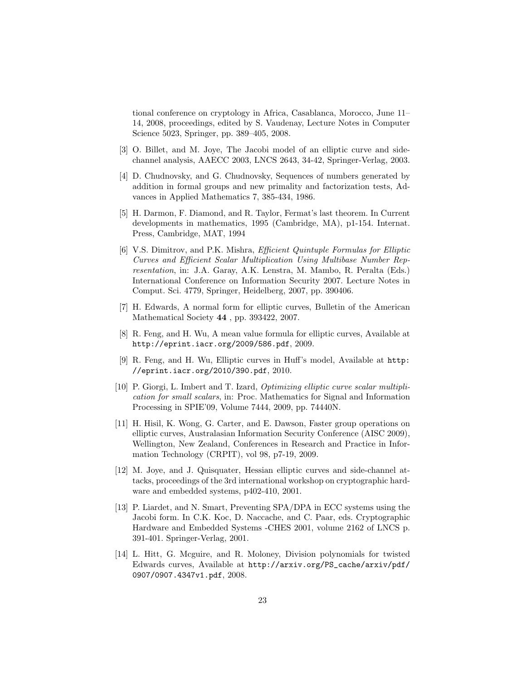tional conference on cryptology in Africa, Casablanca, Morocco, June 11– 14, 2008, proceedings, edited by S. Vaudenay, Lecture Notes in Computer Science 5023, Springer, pp. 389–405, 2008.

- [3] O. Billet, and M. Joye, The Jacobi model of an elliptic curve and sidechannel analysis, AAECC 2003, LNCS 2643, 34-42, Springer-Verlag, 2003.
- [4] D. Chudnovsky, and G. Chudnovsky, Sequences of numbers generated by addition in formal groups and new primality and factorization tests, Advances in Applied Mathematics 7, 385-434, 1986.
- [5] H. Darmon, F. Diamond, and R. Taylor, Fermat's last theorem. In Current developments in mathematics, 1995 (Cambridge, MA), p1-154. Internat. Press, Cambridge, MAT, 1994
- [6] V.S. Dimitrov, and P.K. Mishra, Efficient Quintuple Formulas for Elliptic Curves and Efficient Scalar Multiplication Using Multibase Number Representation, in: J.A. Garay, A.K. Lenstra, M. Mambo, R. Peralta (Eds.) International Conference on Information Security 2007. Lecture Notes in Comput. Sci. 4779, Springer, Heidelberg, 2007, pp. 390406.
- [7] H. Edwards, A normal form for elliptic curves, Bulletin of the American Mathematical Society 44 , pp. 393422, 2007.
- [8] R. Feng, and H. Wu, A mean value formula for elliptic curves, Available at http://eprint.iacr.org/2009/586.pdf, 2009.
- [9] R. Feng, and H. Wu, Elliptic curves in Huff's model, Available at http: //eprint.iacr.org/2010/390.pdf, 2010.
- [10] P. Giorgi, L. Imbert and T. Izard, Optimizing elliptic curve scalar multiplication for small scalars, in: Proc. Mathematics for Signal and Information Processing in SPIE'09, Volume 7444, 2009, pp. 74440N.
- [11] H. Hisil, K. Wong, G. Carter, and E. Dawson, Faster group operations on elliptic curves, Australasian Information Security Conference (AISC 2009), Wellington, New Zealand, Conferences in Research and Practice in Information Technology (CRPIT), vol 98, p7-19, 2009.
- [12] M. Joye, and J. Quisquater, Hessian elliptic curves and side-channel attacks, proceedings of the 3rd international workshop on cryptographic hardware and embedded systems, p402-410, 2001.
- [13] P. Liardet, and N. Smart, Preventing SPA/DPA in ECC systems using the Jacobi form. In C.K. Koc, D. Naccache, and C. Paar, eds. Cryptographic Hardware and Embedded Systems -CHES 2001, volume 2162 of LNCS p. 391-401. Springer-Verlag, 2001.
- [14] L. Hitt, G. Mcguire, and R. Moloney, Division polynomials for twisted Edwards curves, Available at http://arxiv.org/PS\_cache/arxiv/pdf/ 0907/0907.4347v1.pdf, 2008.